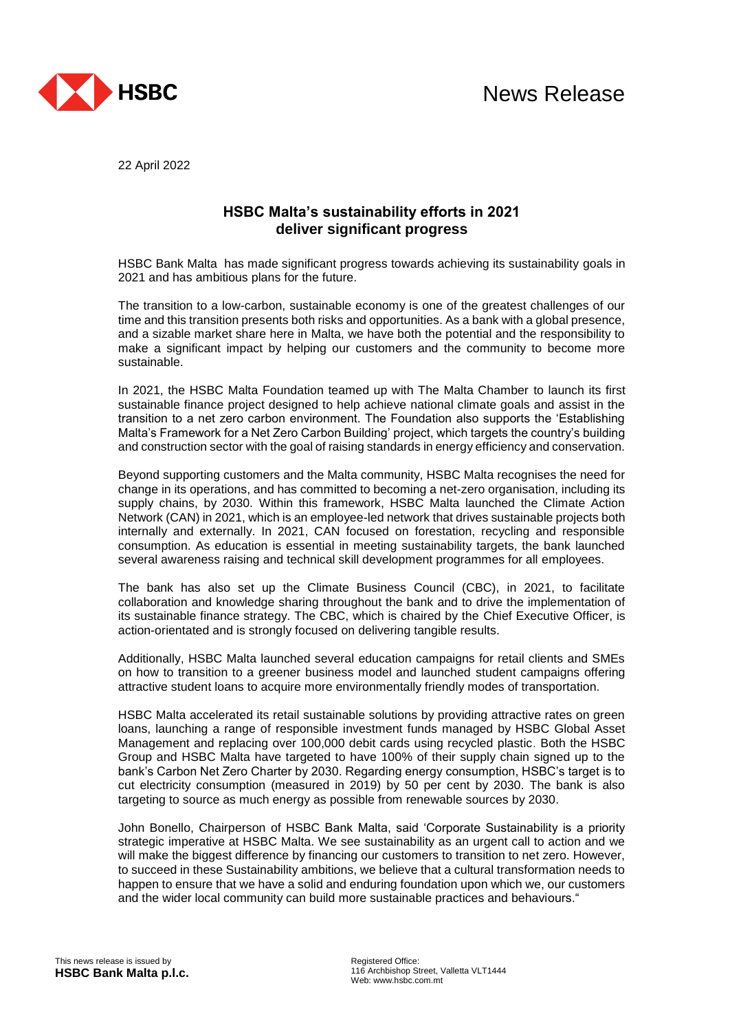

22 April 2022

## **HSBC Malta's sustainability efforts in 2021 deliver significant progress**

HSBC Bank Malta has made significant progress towards achieving its sustainability goals in 2021 and has ambitious plans for the future.

The transition to a low-carbon, sustainable economy is one of the greatest challenges of our time and this transition presents both risks and opportunities. As a bank with a global presence, and a sizable market share here in Malta, we have both the potential and the responsibility to make a significant impact by helping our customers and the community to become more sustainable.

In 2021, the HSBC Malta Foundation teamed up with The Malta Chamber to launch its first sustainable finance project designed to help achieve national climate goals and assist in the transition to a net zero carbon environment. The Foundation also supports the 'Establishing Malta's Framework for a Net Zero Carbon Building' project, which targets the country's building and construction sector with the goal of raising standards in energy efficiency and conservation.

Beyond supporting customers and the Malta community, HSBC Malta recognises the need for change in its operations, and has committed to becoming a net-zero organisation, including its supply chains, by 2030. Within this framework, HSBC Malta launched the Climate Action Network (CAN) in 2021, which is an employee-led network that drives sustainable projects both internally and externally. In 2021, CAN focused on forestation, recycling and responsible consumption. As education is essential in meeting sustainability targets, the bank launched several awareness raising and technical skill development programmes for all employees.

The bank has also set up the Climate Business Council (CBC), in 2021, to facilitate collaboration and knowledge sharing throughout the bank and to drive the implementation of its sustainable finance strategy. The CBC, which is chaired by the Chief Executive Officer, is action-orientated and is strongly focused on delivering tangible results.

Additionally, HSBC Malta launched several education campaigns for retail clients and SMEs on how to transition to a greener business model and launched student campaigns offering attractive student loans to acquire more environmentally friendly modes of transportation.

HSBC Malta accelerated its retail sustainable solutions by providing attractive rates on green loans, launching a range of responsible investment funds managed by HSBC Global Asset Management and replacing over 100,000 debit cards using recycled plastic. Both the HSBC Group and HSBC Malta have targeted to have 100% of their supply chain signed up to the bank's Carbon Net Zero Charter by 2030. Regarding energy consumption, HSBC's target is to cut electricity consumption (measured in 2019) by 50 per cent by 2030. The bank is also targeting to source as much energy as possible from renewable sources by 2030.

John Bonello, Chairperson of HSBC Bank Malta, said 'Corporate Sustainability is a priority strategic imperative at HSBC Malta. We see sustainability as an urgent call to action and we will make the biggest difference by financing our customers to transition to net zero. However, to succeed in these Sustainability ambitions, we believe that a cultural transformation needs to happen to ensure that we have a solid and enduring foundation upon which we, our customers and the wider local community can build more sustainable practices and behaviours."